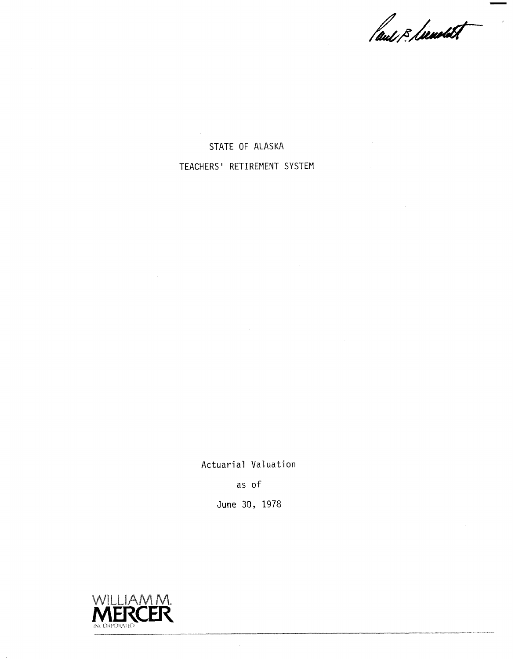laus & Lawdet

STATE OF ALASKA TEACHERS' RETIREMENT SYSTEM

Actuarial Valuation

as of

June 30, 1978

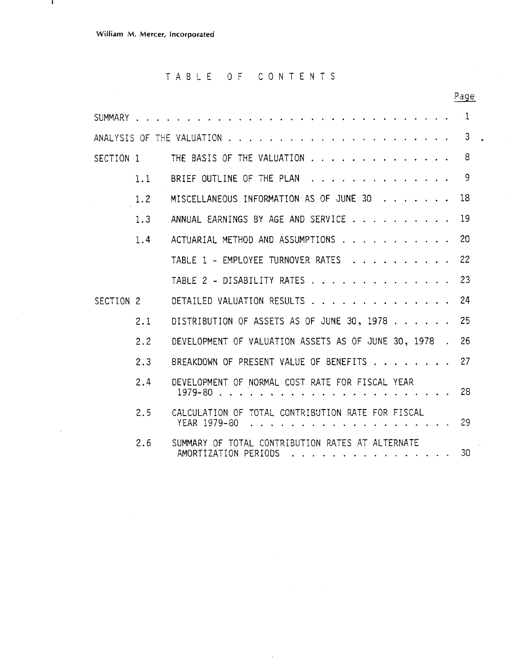$\mathbf{I}$ 

### TABLE OF CONTENTS

|           |     |                                                                                                                             | Page |
|-----------|-----|-----------------------------------------------------------------------------------------------------------------------------|------|
|           |     | SUMMARY                                                                                                                     | 1    |
|           |     | ANALYSIS OF THE VALUATION                                                                                                   | 3    |
| SECTION 1 |     | THE BASIS OF THE VALUATION                                                                                                  | 8    |
|           | 1.1 | BRIEF OUTLINE OF THE PLAN                                                                                                   | 9    |
|           | 1.2 | MISCELLANEOUS INFORMATION AS OF JUNE 30                                                                                     | 18   |
|           | 1.3 | ANNUAL EARNINGS BY AGE AND SERVICE                                                                                          | 19   |
|           | 1.4 | ACTUARIAL METHOD AND ASSUMPTIONS                                                                                            | 20   |
|           |     | TABLE 1 - EMPLOYEE TURNOVER RATES                                                                                           | 22   |
|           |     | TABLE 2 - DISABILITY RATES                                                                                                  | 23   |
| SECTION 2 |     | DETAILED VALUATION RESULTS                                                                                                  | 24   |
|           | 2.1 | DISTRIBUTION OF ASSETS AS OF JUNE 30, 1978                                                                                  | 25   |
|           | 2.2 | DEVELOPMENT OF VALUATION ASSETS AS OF JUNE 30, 1978.                                                                        | 26   |
|           | 2.3 | BREAKDOWN OF PRESENT VALUE OF BENEFITS                                                                                      | 27   |
|           | 2.4 | DEVELOPMENT OF NORMAL COST RATE FOR FISCAL YEAR<br>$1979 - 80$                                                              | 28   |
|           | 2.5 | CALCULATION OF TOTAL CONTRIBUTION RATE FOR FISCAL<br>YEAR 1979-80<br>.                                                      | 29   |
|           | 2.6 | SUMMARY OF TOTAL CONTRIBUTION RATES AT ALTERNATE<br>AMORTIZATION PERIODS<br>فالقاط الجالعا والقاط المالقاط المالقاط القاطاط | 30   |

 $\ddot{\phantom{a}}$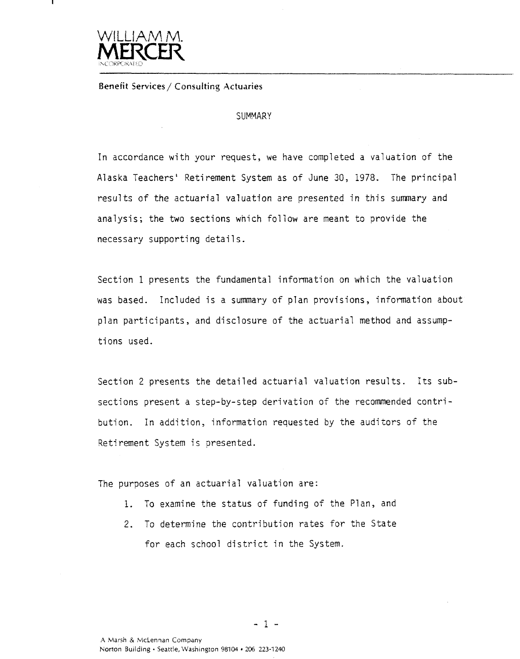

**Benefit Services/ Consulting Actuaries** 

### **SUMMARY**

In accordance with your request, we have completed a valuation of the Alaska Teachers' Retirement System as of June 30, 1978. The principal results of the actuarial valuation are presented in this summary and analysis; the two sections which follow are meant to provide the necessary supporting details.

Section 1 presents the fundamental information on which the valuation was based. Included is a summary of plan provisions, information about plan participants, and disclosure of the actuarial method and assumptions used.

Section 2 presents the detailed actuarial valuation results. Its subsections present a step-by-step derivation of the recommended contribution. In addition, information requested by the auditors of the Retirement System is presented.

The purposes of an actuarial valuation are:

- 1. To examine the status of funding of the Plan, and
- 2. To determine the contribution rates for the State for each school district in the System.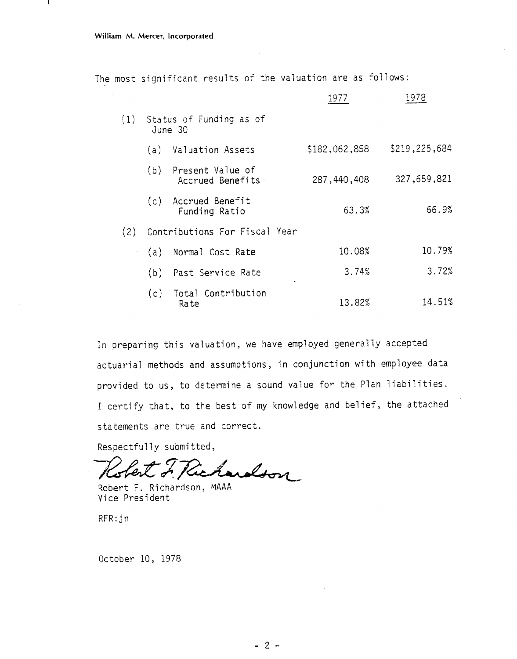-1

The most significant results of the valuation are as follows:

|     |     |                                          | 1977          | 1978          |
|-----|-----|------------------------------------------|---------------|---------------|
|     |     | (1) Status of Funding as of<br>June 30   |               |               |
|     |     | (a) Valuation Assets                     | \$182,062,858 | \$219,225,684 |
|     |     | (b) Present Value of<br>Accrued Benefits | 287,440,408   | 327,659,821   |
|     |     | (c) Accrued Benefit<br>Funding Ratio     | 63.3%         | 66.9%         |
| (2) |     | Contributions For Fiscal Year            |               |               |
|     | (a) | Normal Cost Rate                         | 10.08%        | 10.79%        |
|     | (b) | Past Service Rate                        | 3.74%         | 3.72%         |
|     |     | (c) Total Contribution<br>Rate           | 13.82%        | 14.51%        |

In preparing this valuation, we have employed generally accepted actuarial methods and assumptions, in conjunction with employee data provided to us, to determine a sound value for the Plan liabilities. I certify that, to the best of my knowledge and belief, the attached statements are true and correct.

Respectfully submitted,

Richardson

Robert F. Richardson, MAAA Vice President

RFR: jn

October 10, 1978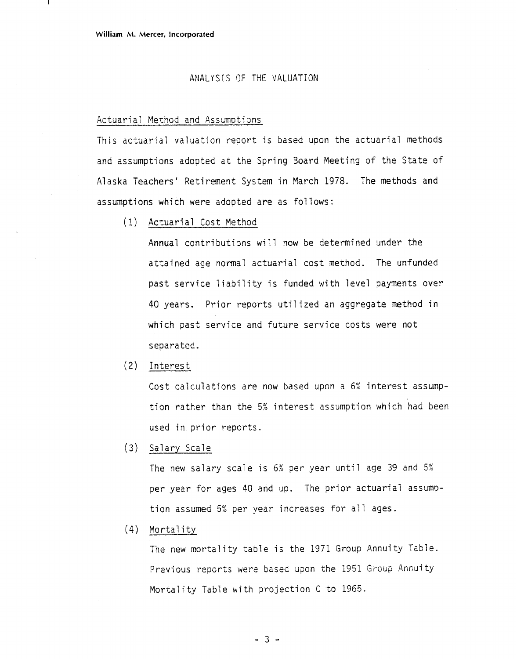### ANALYSIS OF THE VALUATION

### Actuarial Method and Assumptions

This actuarial valuation report is based upon the actuarial methods and assumptions adopted at the Spring Board Meeting of the State of Alaska Teachers' Retirement System in March 1978. The methods and assumptions which were adopted are as follows:

(1) Actuarial Cost Method

Annual contributions will now be determined under the attained age normal actuarial cost method. The unfunded past service liability is funded with level payments over 40 years. Prior reports utilized an aggregate method in which past service and future service costs were not separated.

(2) Interest

Cost calculations are now based upon a 6% interest assumption rather than the *52* interest assumption which had been used in prior reports.

(3) Salary Scale

The new salary scale is *62* per year until age 39 and 5% per year for ages 40 and up. The prior actuarial assumption assumed 5% per year increases for all ages.

 $(4)$  Mortality

The new mortality table is the 1971 Group Annuity Table. Previous reports were based upon the 1951 Group Annuity Mortality Table with projection C to 1965

 $-3-$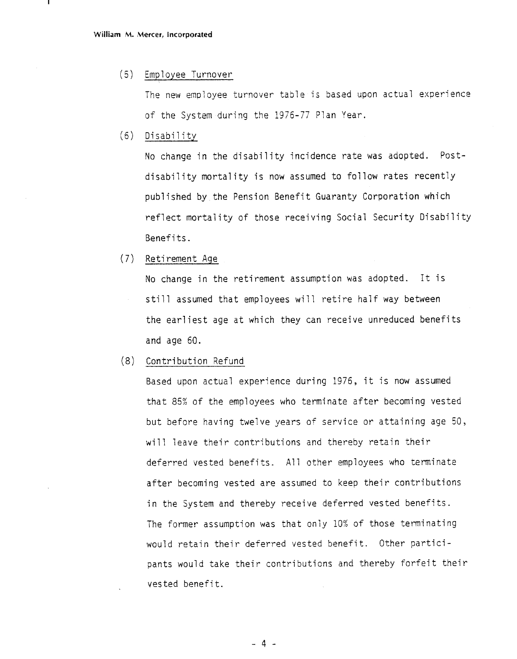#### $(5)$ Employee Turnover

The new employee turnover table is based upon actual experience of the System during the 1976-77 Plan Year.

 $(6)$ Disability

> No change in the disability incidence rate was adopted. Postdisability mortality is now assumed to follow rates recently published by the Pension Benefit Guaranty Corporation which reflect mortality of those receiving Social Security Disability Benefits.

 $(7)$ Retirement Age

> No change in the retirement assumption was adopted. It is still assumed that employees will retire half way between the earliest age at which they can receive unreduced benefits and age 60.

 $(8)$ Contribution Refund

> Based upon actual experience during 1976, it is now assumed that 85% of the employees who terminate after becoming vested but before having twelve years of service or attaining age 50, will leave their contributions and thereby retain their deferred vested benefits. All other employees who terminate after becoming vested are assumed to keep their contributions in the System and thereby receive deferred vested benefits. The former assumption was that only 10% of those terminating would retain their deferred vested benefit. Other participants would take their contributions and thereby forfeit their vested benefit.

> > $-4-$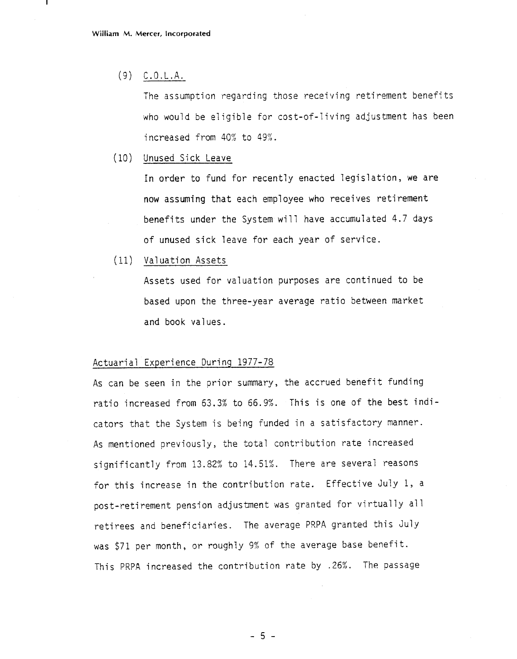$(9)$  C.O.L.A.

The assumption regarding those receiving retirement benefits who would be eligible for cost-of-living adjustment has been increased from 40% to 49%.

(10) Unused Sick Leave

In order to fund for recently enacted legislation, we are now assuming that each employee who receives retirement benefits under the System will have accumulated 4.7 days of unused sick leave for each year of service.

Valuation Assets

Assets used for valuation purposes are continued to be based upon the three-year average ratio between market and book val ues .

### Actuarial Experience During 1977-78

As can be seen in the prior summary, the accrued benefit funding ratio increased from 63.3% to 66.9%. This is one of the best indicators that the System is being funded in a satisfactory manner. As mentioned previously, the total contribution rate increased significantly from 13.82% to 14.51%. There are several reasons for this increase in the contribution rate. Effective July 1, a post-retirement pension adjustment was granted for virtually all retirees and beneficiaries. The average PRPA granted this July was \$71 per month, or roughly 9% of the average base benefit. This PRPA increased the contribution rate by .26%. The passage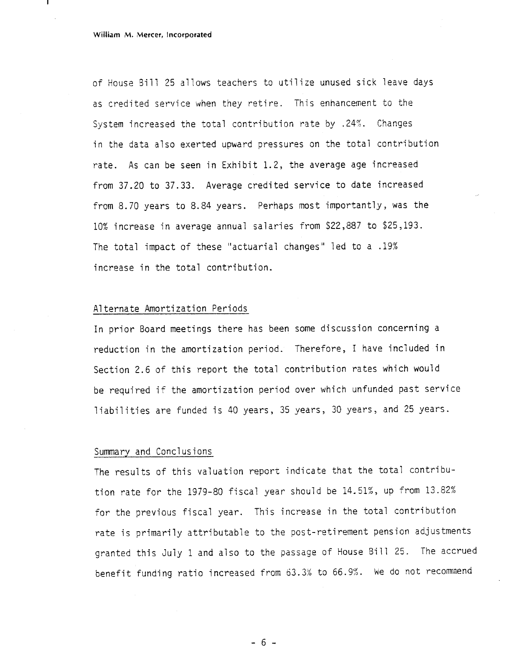of House Bill 25 a1 lows teachers to utilize unused sick leave days as credited service when they retire. This enhancement to the System increased the total contribution rate by .24%. Changes in the data also exerted upward pressures on the total contribution rate. As can be seen in Exhibit 1.2, the average age increased from 37.20 to 37.33. Average credited service to date increased from 8.70 years to 8.84 years. Perhaps most importantly, was the 10% increase in average annual salaries from \$22,887 to \$25,193. The total impact of these "actuarial changes" led to a .19% increase in the total contribution.

#### A1 ternate Amortization Periods

In prior Board meetings there has been some discussion concerning a reduction in the amortization period. Therefore, I have included in Section 2.6 of this report the total contribution rates which would be required if the amortization period over which unfunded past service liabilities are funded is 40 years, 35 years, 30 years, and 25 years.

#### Summary and Conclusions

The results of this valuation report indicate that the total contribution rate for the 1979-80 fiscal year should be 14.51%, up from 13.82% for the previous fiscal year. This increase in the total contribution rate is primarily attributable to the post-retirement pension adjustments granted this July 1 and also to the passage of House Bill 25. The accrued benefit funding ratio increased from *63.3%* to 66.9%. he do not recommend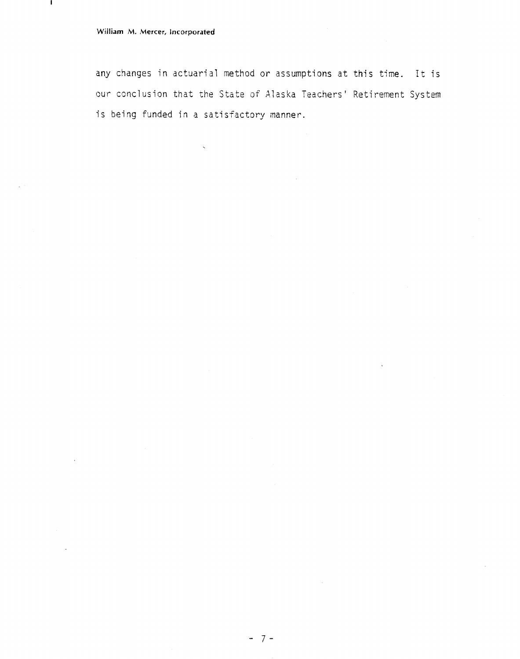л.

any changes in actuarial method or assumptions at this time. It is our conclusion that the State of Alaska Teachers' Retirement System is being funded in a satisfactory manner.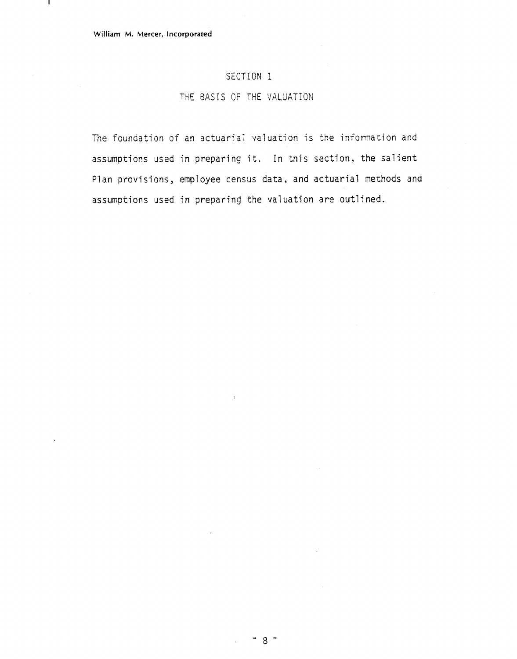л.

### SECTION 1

### THE BASIS OF THE VALUATION

The foundation of an actuarial valuation is the information and assumptions used in preparing it. In this section, the salient Plan provisions, employee census data, and actuarial methods and assumptions used in preparing the valuation are outlined.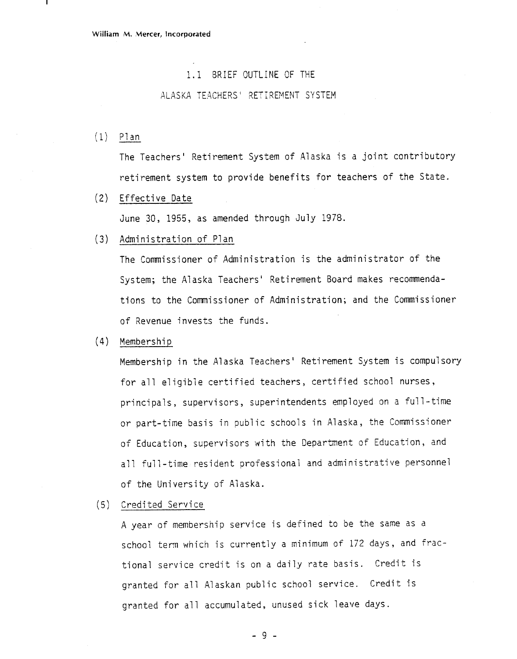### 1.1 BRIEF OUTLINE OF THE

### ALASKA TEACHERS' RETIREMENT SYSTEM

 $(1)$  Plan

The Teachers' Retirement System of Alaska is a joint contributory retirement system to provide benefits for teachers of the State.

(2) Effective Date

June 30, 1955, as amended through July 1978.

(3) Administration of Plan

The Cormissioner of Administration is the administrator of the System; the Alaska Teachers' Retirement Board makes recommendations to the Commissioner of Administration; and the Commissioner of Revenue invests the funds.

 $(4)$  Membership

Membership in the Alaska Teachers' Retirement System is compulsory for all eligible certified teachers, certified school nurses, principals, supervisors, superintendents employed on a full-time or part-time basis in public schools in Alaska, the Comnissioner of Education, supervisors with the Department of Education, and all full-time resident professional and administrative personnel of the University of Alaska.

### (5) Credited Service

A year of membership service is defined to be the same as a school term which is currently a minimum of 172 days, and fractional service credit is on a daily rate basis. Credit is granted for all Alaskan public school service. Credit is granted for all accumulated, unused sick leave days.

 $-9-$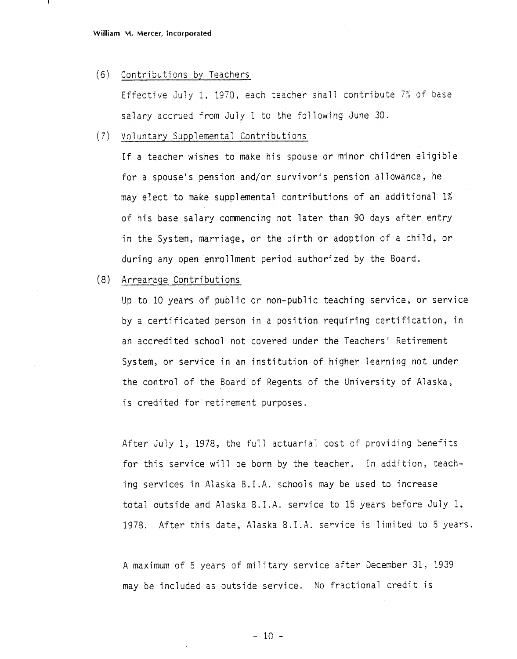#### (6) Contributions by Teachers

Effective July 1, 1970, each teacher shall contribute 7% of base salary accrued from July 1 to the following June 30.

### (7) Voluntary Supplemental Contributions

If a teacher wishes to make his spouse or minor children eligible for a spouse's pension and/or survivor's pension allowance, he may elect to make supplemental contributions of an additional 1% of his base salary commencing not later than 90 days after entry in the System, marriage, or the birth or adoption of a child, or during any open enrollment period authorized by the Board.

### (8) Arrearage Contributions

Up to 10 years of public or non-public teaching service, or service by a certificated person in a position requiring certification, in an accredited school not covered under the Teachers' Retirement System, or service in an institution of higher learning not under the control of the Board of Regents of the University of Alaska, is credited for retirement purposes.

After July 1, 1978, the full actuarial cost of providing benefits for this service will be born by the teacher. In addition, teaching services in Alaska B.I.A. schools may be used to increase total outside and Alaska B.I.A. service to 15 years before July 1, 1978. After this date, Alaska B.I.A. service is limited to 5 years.

A maximum of 5 years of military service after December 31, 1939 may be included as outside service. No fractional credit is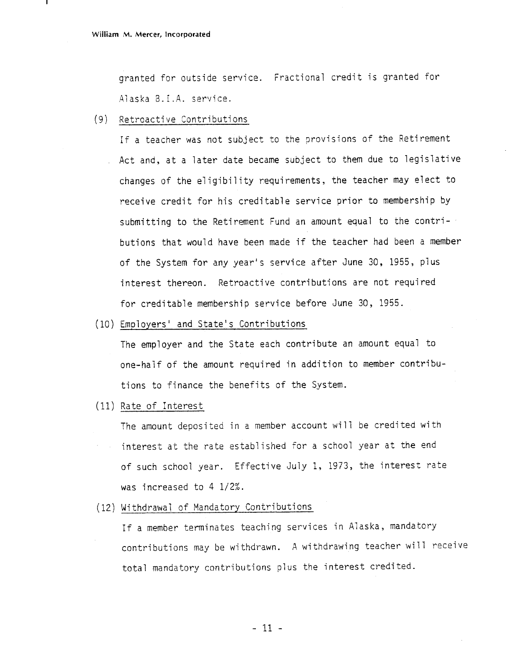granted for outside service. Fractional credit is granted for Alaska B. I.A. service.

### (9) Retroactive Contributions

If a teacher was not subject to the provisions of the Retirement Act and, at a later date became subject to them due to legislative changes of the eligibility requirements, the teacher may elect to receive credit for his creditable service prior to membership by submitting to the Retirement Fund an amount equal to the contributions that would have been made if the teacher had been a member of the System for any year's service after June 30, 1955, plus nterest thereon. Retroactive contributions are not required for creditable membership service before June 30, 1955.

(10) Employers' and State's Contributions

The employer and the State each contribute an amount equal to one-half of the amount required in addition to member contributions to finance the benefits of the System.

(11) Rate of Interest

The amount deposited in a member account will be credited with interest at the rate established for a school year at the end of such school year. Effective July 1, 1973, the interest rate was increased to 4 1/2%.

(12) Wi thdrawa? of Mandatory Contributions

If a member terminates teaching services in Alaska, mandatory contributions may be withdrawn. A withdrawing teacher will receive total mandatory contributions plus the interest credited.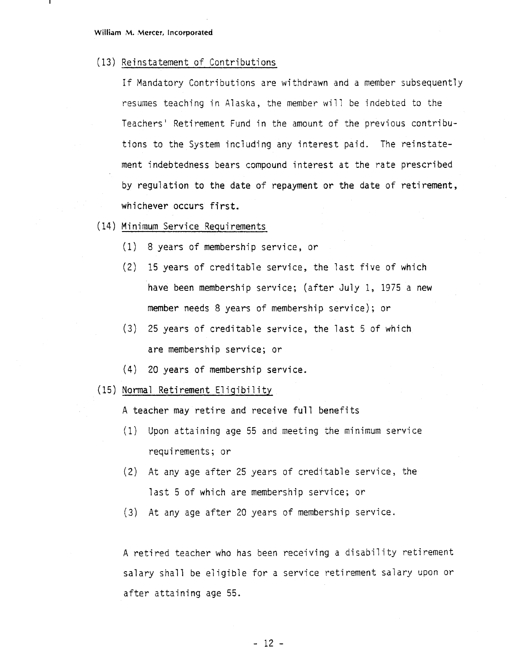(13) Reinstatement of Contributions

If Mandatory Contributions are withdrawn and a member subsequently resumes teaching in Alaska, the member will be indebted to the Teachers' Retirement Fund in the amount of the previous contributions to the System including any interest paid. The reinstatement indebtedness bears compound interest at the rate prescribed by regulation to the date of repayment or the date of retirement, whichever occurs first.

- (14) Minimum Service Requirements
	- (1) 8 years of membership service, or
	- (2) 15 years of creditable service, the fast five of which have been membership service; (after July 1, 1975 a new member needs 8 years of membership service); or
	- (3) 25 years of creditable service, the last 5 of which are membership service; or
	- (4) 20 years of membership service.
- (15) Normal Retirement Eligibility

A teacher may retire and receive full benefits

- (1) Upon attaining age 55 and meeting the minimum service requirements ; or
- (2) At any age after 25 years of creditable service, the last 5 of which are membership service; or
- (3) At any age after 20 years of membership service.

A retired teacher who has been receiving a disability retirement salary shall be eligible for a service retirement salary upon or after attaining age 55.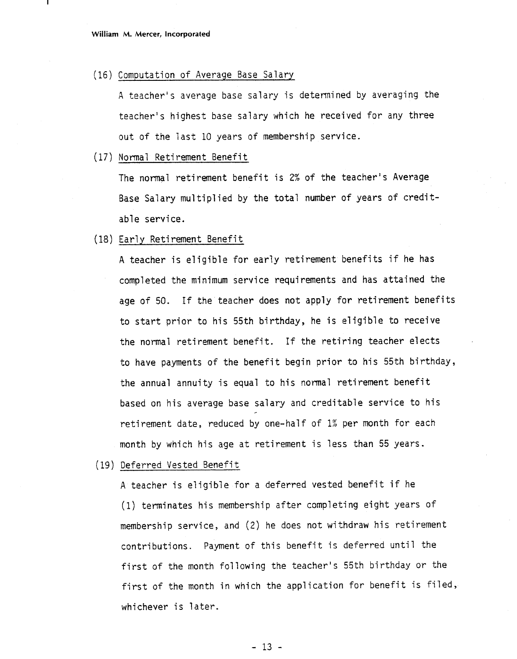(16) Computation of Average Base Salary

A teacher's average base salary is determined by averaging the teacher's highest base salary which he received for any three out of the last 10 years of membership service.

(17) Normal Retirement Benefit

The normal retirement benefit is **2%** of the teacher's Average Base Salary multiplied by the total number of years of creditable service.

(18) Early Reti rement Benefit

A teacher is eligible for early retirement benefits if he has completed the minimum service requi rements and has attained the age of 50. If the teacher does not apply for retirement benefits to start prior to his 55th birthday, he is eligible to receive the normal retirement benefit. If the retiring teacher elects to have payments of the benefit begin prior to his 55th birthday, the annual annuity is equal to his normal retirement benefit based on his average base salary and creditable service to his retirement date, reduced by one-half of 1% per month for each month by which his age at retirement is less than 55 years.

(19) Deferred Vested Benefit

A teacher is eligible for a deferred vested benefit if he (1) terminates his membership after completing eight years of membership service, and (2) he does not withdraw his retirement contributions. Payment of this benefit is deferred until the first of the month following the teacher's 55th birthday or the first of the month in which the application for benefit is filed, whichever is later.

 $-13 -$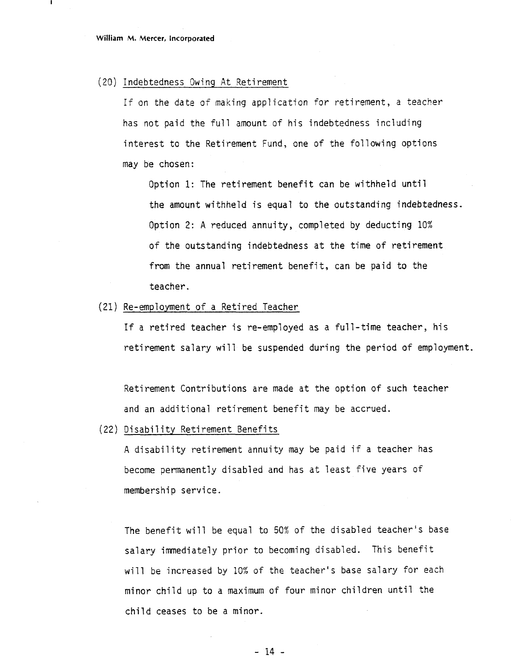#### (20) Indebtedness Owing At Retirement

If on the date of making application for retirement, a teacher has not paid the full amount of his indebtedness including interest to the Retirement Fund, one of the following options may be chosen:

Option 1: The retirement benefit can be withheld until the amount withheld is equal to the outstanding indebtedness. Option 2: **A** reduced annuity, completed by deducting 10% of the outstanding indebtedness at the time of retirement from the annual retirement benefit, can be paid to the teacher.

### (21) Re-employment of a Retired Teacher

If a retired teacher is re-employed as a full-time teacher, his retirement salary will be suspended during the period of employment.

Retirement Contributions are made at the option of such teacher and an additional retirement benefit may be accrued.

(22) Disability Retirement Benefits

A disability retirement annuity may be paid if a teacher has become permanently disabled and has at least five years of membership service.

The benefit will be equal to 50% of the disabled teacher's base salary immediately prior to becoming disabled. This benefit will be increased by 10% of the teacher's base salary for each minor child up to a maximum of four minor children until the child ceases to be a minor.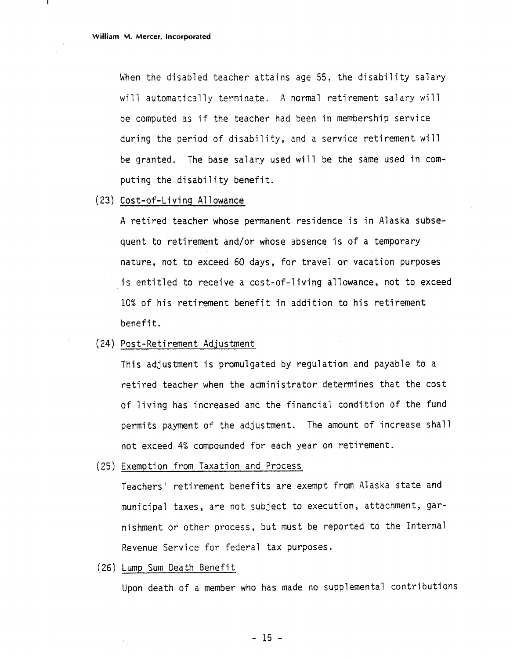When the disabled teacher attains age 55, the disability salary will automatically terminate. A normal retirement salary will be computed as if the teacher had been in membership service during the period of disability, and a service retirement will be granted. The base salary used will be the same used in computing the disability benefit.

### **(23)** Cost-of-Li vi ng A1 I owance

**A** retired teacher whose permanent residence is in Alaska subsequent to retirement and/or whose absence is of a temporary nature, not to exceed 60 days, for travel or vacation purposes is entitled to receive a cost-of-living allowance, not to exceed 10% of his retirement benefit in addition to his retirement benefit.

### (24) Post-Retirement Adjustment

This adjustment is promulgated by regulation and payable to a retired teacher when the administrator determines that the cost of living has increased and the financial condition of the fund permits payment of the adjustment. The amount of increase shall not exceed 4% compounded for each year on retirement.

(25) Exemption from Taxation and Process

Teachers' retirement benefits are exempt from Alaska state and municipal taxes, are not subject to execution, attachment, garnishment or other process, but must be reported to the Internal Revenue Service for federal tax purposes.

#### (26) Lump Sum Death Benefit

Upon death of a member who has made no supplemental contributions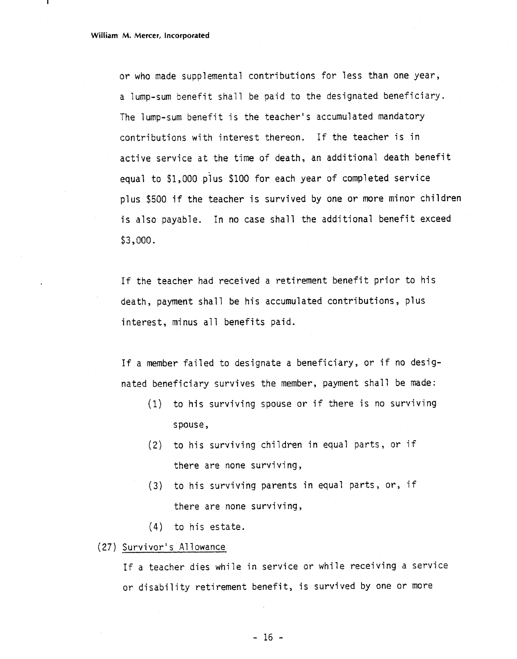or who made supplemental contributions for less than one year, a lump-sum benefit shall be paid to the designated beneficiary. The lump-sum benefit is the teacher's accumulated mandatory contributions with interest thereon. If the teacher is in active service at the time of death, an additional death benefit equal to \$1,000 plus \$100 for each year of completed service plus \$500 if the teacher is survived by one or more minor children is also payable. In no case shall the additional benefit exceed \$3,000.

If the teacher had received a retirement benefit prior to his death, payment shall be his accumulated contributions , plus interest, minus all benefits paid.

If a member failed to designate a beneficiary, or if no designated beneficiary survives the member, payment shall be made:

- (I) to his surviving spouse or if there is no surviving spouse,
- **(2)** to his surviving children in equal parts, or if there are none surviving,
- (3) to his surviving parents in equal parts, or, if there are none surviving,
- (4) to his estate.
- (27) Survivor's Allowance

If a teacher dies while in service or while receiving a service or disability retirement benefit, is survived by one or more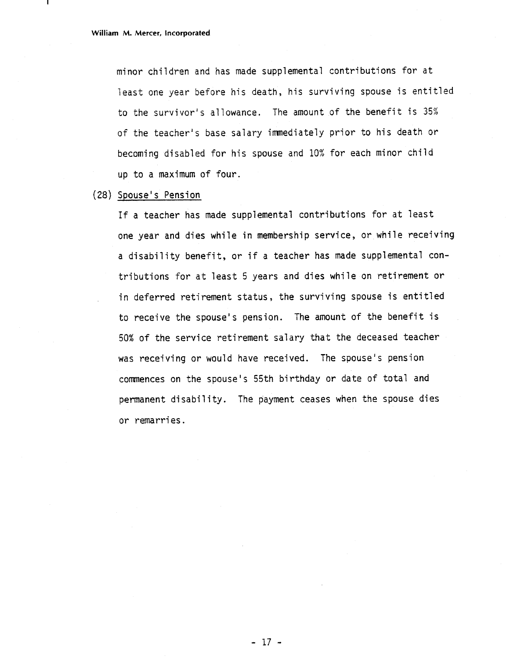minor children and has made supplemental contributions for at least one year before his death, his surviving spouse is entitled to the survivor's allowance. The amount of the benefit is 35% of the teacher's base salary imnediately prior to his death or becoming disabled for his spouse and 10% for each minor child up to a maximum of four.

### (28) Spouse's Pension

If a teacher has made supplemental contributions for at least one year and dies while in membership service, or while receiving a disability benefit, or if a teacher has made supplemental contributions for at least 5 years and dies while on retirement or in deferred retirement status, the surviving spouse is entitled to receive the spouse's pension. The amount of the benefit is 50% of the service retirement salary that the deceased teacher was receiving or would have received. The spouse's pension commences on the spouse's 55th birthday or date of total and permanent disability. The payment ceases when the spouse dies or remarries .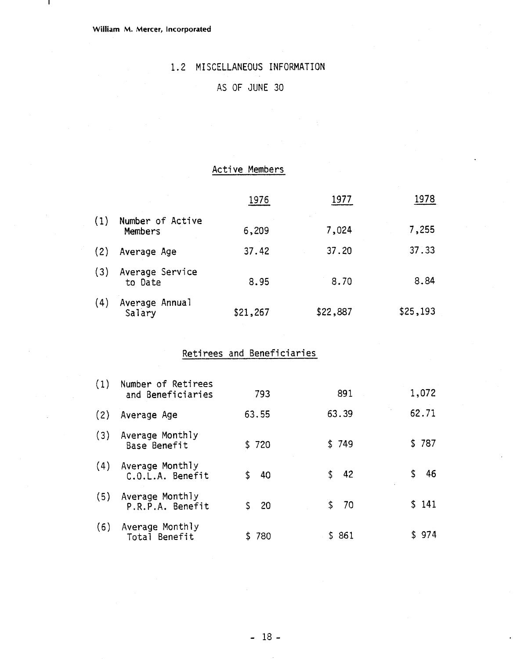$\mathbf{I}$ 

# 1.2 MISCELLANEOUS INFORMATION

# AS OF JUNE 30

### Acti ve Members

|     |                             | Active Members |          |          |
|-----|-----------------------------|----------------|----------|----------|
|     |                             | 1976           | 1977     | 1978     |
| (1) | Number of Active<br>Members | 6,209          | 7,024    | 7,255    |
| (2) | Average Age                 | 37.42          | 37.20    | 37.33    |
| (3) | Average Service<br>to Date  | 8.95           | 8.70     | 8.84     |
| (4) | Average Annual<br>Salary    | \$21,267       | \$22,887 | \$25,193 |

# Retirees and Beneficiaries

| (1) | Number of Retirees<br>and Beneficiaries | 793   | 891   | 1,072     |
|-----|-----------------------------------------|-------|-------|-----------|
| (2) | Average Age                             | 63.55 | 63.39 | 62.71     |
| (3) | Average Monthly<br>Base Benefit         | \$720 | \$749 | \$787     |
| (4) | Average Monthly<br>C.O.L.A. Benefit     | \$ 40 | \$ 42 | \$<br>-46 |
| (5) | Average Monthly<br>P.R.P.A. Benefit     | \$ 20 | \$70  | \$141     |
| (6) | Average Monthly<br>Total Benefit        | \$780 | \$861 | \$974     |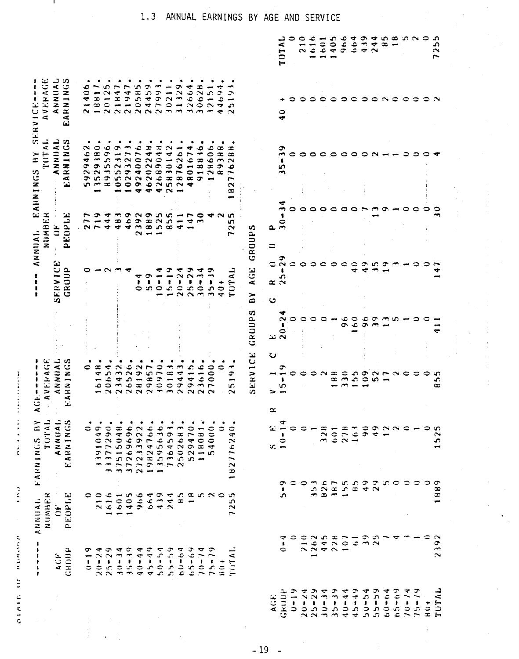| NUMBER<br>ANNIAI.<br>ı                                                                         | AVERAGE<br>TOTAL<br><b>FARNINGS BY</b>                     | NUMBER<br>ANNIAI.                              | SERV<br>THTAL<br>HY<br>EARNINGS                                                                              | AVERAGE<br>ı<br>٠<br>151             |
|------------------------------------------------------------------------------------------------|------------------------------------------------------------|------------------------------------------------|--------------------------------------------------------------------------------------------------------------|--------------------------------------|
| ANNUAL<br><b>EARNINGS</b><br>PEOPLE<br>$\ddot{=}$<br>GROUP<br>AGP                              | <b>SERVICE</b><br>GRUUP<br>ANNNIAL<br>EARNINGS             | PEOPLE<br>$\ddot{a}$                           | ANIIAL<br>EARNINGS                                                                                           | RNINGS<br>ANNUAL<br>4<br>ننا         |
| 0<br>ా<br>$1 - 1$                                                                              | 0                                                          | ∼<br>~                                         |                                                                                                              |                                      |
| ٠<br>٠<br>191049<br>$\overline{\phantom{a}}$<br>≂                                              | œ<br>4                                                     | ∽<br>$\overline{\phantom{a}}$<br>$\sim$ $\sim$ | 5929462<br>3529380                                                                                           |                                      |
| ٠<br>377290<br>$\overline{\phantom{0}}$<br>$\rightarrow$<br>616<br>-<br>$20 - 24$<br>$25 - 29$ | ₹<br>$\Omega$<br>$\frac{161}{294}$                         | ٩<br>╺<br>◆                                    | ۰<br>$\frac{6}{5}$<br>မာ<br>893                                                                              |                                      |
| 515048<br>$\overline{ }$<br>$\overline{\phantom{a}}$<br>601<br>÷<br>$30 - 34$                  | $\tilde{\mathbf{z}}$                                       | $\rightarrow$<br>49                            | ᡐ<br>$\overline{\phantom{a}}$<br>523<br>05                                                                   |                                      |
| 37269696.<br>405<br>$35 - 39$                                                                  | 26<br>26526<br>28192                                       | 6 <sub>9</sub><br>▼                            | $\overline{\phantom{a}}$<br>$\overline{27}$<br>0293                                                          |                                      |
| 7233922<br>$\sim$<br>966<br>$40 - 44$                                                          | ł.<br>$\bullet$                                            | $\sim$<br>$\frac{9}{9}$<br>$\sim$ $-$          | 49240076                                                                                                     |                                      |
| 19824766.<br>13595636.<br>664<br>$66 - 49$                                                     | ా<br>$\pmb{\ast}$<br>းက ထ<br>29857                         | $\bullet$                                      | $\frac{1}{4}$<br>$\rightarrow$<br>46202                                                                      |                                      |
| 439<br>$64 - 04$                                                                               | $\pmb{\cdot}$<br>30970                                     | ഹ<br>52                                        | 689048<br>42                                                                                                 |                                      |
| ٠<br>1364593<br>1502683<br>7364<br>244<br>$55 - 59$                                            | $\frac{1}{2}$<br>$\overline{\phantom{0}}$<br>∽<br>3018     | 8.55                                           | 183014<br>25                                                                                                 | ÷<br>$\overline{0}$<br>$\rightarrow$ |
| $\mathbf{a}$<br>$b(1 - b)$ 4                                                                   | $20 - 24$<br>m<br>2944                                     | $\ddot{ }$<br>◅                                | 2876261                                                                                                      | 1329<br>$\rightarrow$                |
| 529470<br>$\frac{a}{1}$<br>$65 - 69$                                                           | $\sim$<br>$25 -$<br>29415                                  | ┍<br>ෑ<br>⊃                                    | 4<br>80167<br>₹                                                                                              | 2664                                 |
| 118081<br>ъc.<br>$10 - 14$                                                                     | $\rightarrow$<br>$30*$<br>3616<br>$\sim$                   | 0<br>$\rightarrow$<br>╺                        | $\bullet$<br>1881<br>ూ                                                                                       | 0628                                 |
| 4000<br>ιc.<br>$\sim$ 0<br>$7 - 79$                                                            | m<br>$35 -$<br>000<br>$\sim$                               | ᡋ                                              | 28606                                                                                                        | 2151                                 |
| ٠<br>٥<br>$\frac{1}{2}$                                                                        | $40+$                                                      |                                                | 388<br>Þ<br>$\infty$                                                                                         | 69<br>÷                              |
| $\bullet$<br>$\frac{1}{4}$<br>1827762<br>ъ.<br>S<br>$\sim$<br>$\overline{ }$<br>THTAL          | LATU'<br><b>J</b><br>ïΩ,<br>$\sim$                         | m<br>ı.<br>$\sim$<br>┍                         | æ<br>$\infty$<br>$\sim$<br>۰<br>$\overline{\phantom{0}}$<br>$\overline{\phantom{0}}$<br>$\mathbf{\sim}$<br>œ | ా<br>$\ddot{ }$<br>$\Omega$          |
|                                                                                                | AGE<br>ΒY<br>GRUUPS<br>SERVICE                             | GROUPS                                         |                                                                                                              |                                      |
| $\ddot{}$<br>U.                                                                                | $\propto$<br>$\ddot{\circ}$<br>لغا<br>$\ddot{\phantom{0}}$ | $\mathbf{a}$<br>$\equiv$<br>≎                  |                                                                                                              |                                      |
| $10 -$<br>σ<br>$\pmb{\ast}$<br><b>ي</b><br>ᢦ<br>$\frac{1}{2}$                                  | $\frac{5}{2}$<br>8<br>$\overline{2}$<br>σ<br>ທ             | $\bullet$<br>$\frac{1}{2}$                     | $\mathbf{5}$                                                                                                 | $\frac{1}{2}$                        |
| ≎<br>≎                                                                                         |                                                            |                                                |                                                                                                              |                                      |
| 0                                                                                              |                                                            |                                                |                                                                                                              |                                      |
| ∽<br>ia<br>M<br>يسير                                                                           | 0                                                          |                                                |                                                                                                              |                                      |
| 328<br>826<br>$\frac{262}{262}$                                                                |                                                            |                                                | ⊂                                                                                                            |                                      |
| 601<br>187<br>228                                                                              | $\frac{a}{\alpha}$                                         |                                                | ∘                                                                                                            |                                      |
| <b>878</b><br>155<br>107                                                                       | ع<br>$\bar{\sigma}$<br>$\mathfrak{z}_0$                    | ⊂                                              | O                                                                                                            |                                      |
| 163<br>$\mathbf{g}$<br>$\overline{6}$                                                          | $\frac{6}{6}$<br>$55$                                      | ≎                                              | っ                                                                                                            |                                      |
| $\frac{0}{2}$<br>$\frac{9}{4}$<br>$\frac{1}{2}$                                                | c<br>ক<br>$\frac{6}{2}$                                    | ా                                              |                                                                                                              |                                      |
| 49<br>$\overline{2}$<br>$\sim$                                                                 | σ<br>$\sim$<br>ഗ                                           | w.                                             |                                                                                                              |                                      |
| $\sim$ $\sim$<br>بنير<br>١C                                                                    | $\overline{ }$                                             |                                                |                                                                                                              |                                      |
| $\circ$                                                                                        | $\sim$                                                     |                                                |                                                                                                              |                                      |
| ⊂<br>0                                                                                         |                                                            |                                                |                                                                                                              |                                      |
| 0                                                                                              |                                                            |                                                |                                                                                                              |                                      |
| ≎                                                                                              |                                                            |                                                |                                                                                                              |                                      |
| 1525<br>1889<br>2392                                                                           | ഗ<br>S,<br>$\infty$                                        |                                                |                                                                                                              |                                      |

# **1.3 ANNUAL EARNINGS BY AGE AND SERVICE**

J.

**Change of the State of the State of the State of the State of the State of the State of the State of the State of the State of the State of the State of the State of the State of the State of the State of the State of the** 

 $\frac{1}{2}$ 

ainin ur numinn

 $-19 -$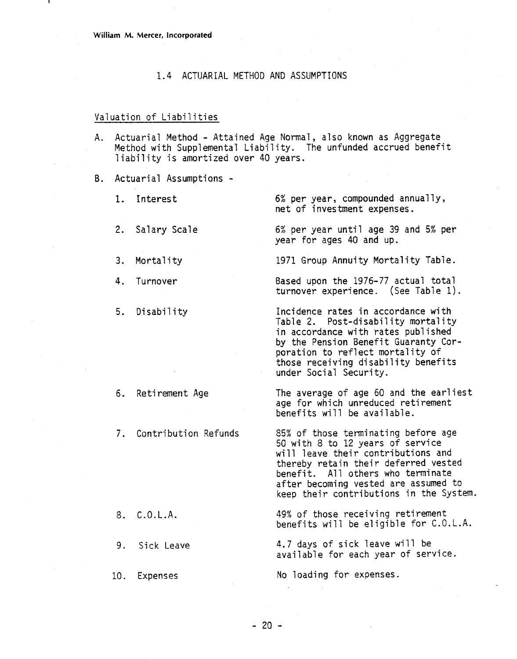### 1.4 ACTUARIAL METHOD AND ASSUMPTIONS

#### Valuation of Liabilities

- A. Actuarial Method Attained Age Normal, also known as Aggregate Method with Supplemental Liability. The unfunded accrued benefit liability is amortized over 40 years.
- B. Actuarial Assumptions
	- 1. Interest
	- 2. Salary Scale
	- 3. Mortality
	- 4. Turnover
	- 5. Disability

- 6. Retirement Age
- Contribution Refunds

8. C.O.L.A.

9. Sick Leave

10. Expenses

6% per year, compounded annually, net of investment expenses.

6% per year until age **39** and 5% per year for ages 40 and up.

1971 Group Annuity Mortality Table.

Based upon the 1976-77 actual total turnover experience. (See Table 1).

Incidence rates in accordance with Table 2. Post-disability mortality in accordance with rates published by the Pension Benefit Guaranty Corporation to reflect mortality of those receiving disability benefits under Social Security.

The average of age  $60$  and the earliest age for which unreduced retirement benefits will be available.

85% of those terminating before age 50 with 8 to 12 years of service will leave their contributions and thereby retain their deferred vested benefit. All others who terminate after becoming vested are assumed to keep their contributions in the System.

49% of those receiving retirement benefits will be eligible for C.O.L.A.

4.7 days of sick leave will be available for each year of service.

No loading for expenses.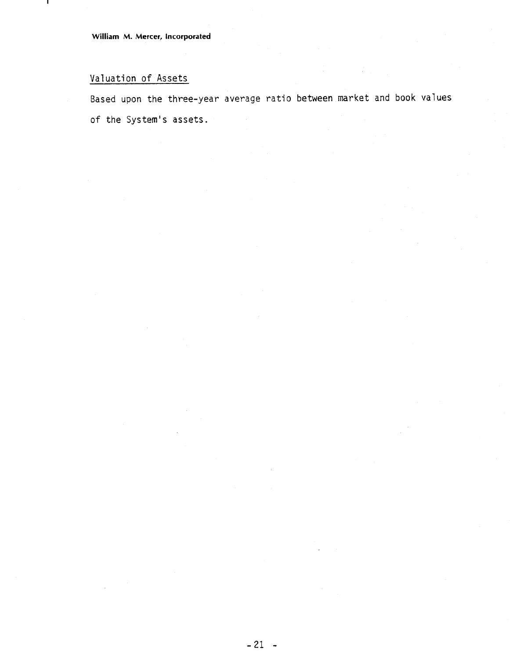# Valuation of Assets

J.

Based upon the three-year average ratio between market and book values of the System's assets.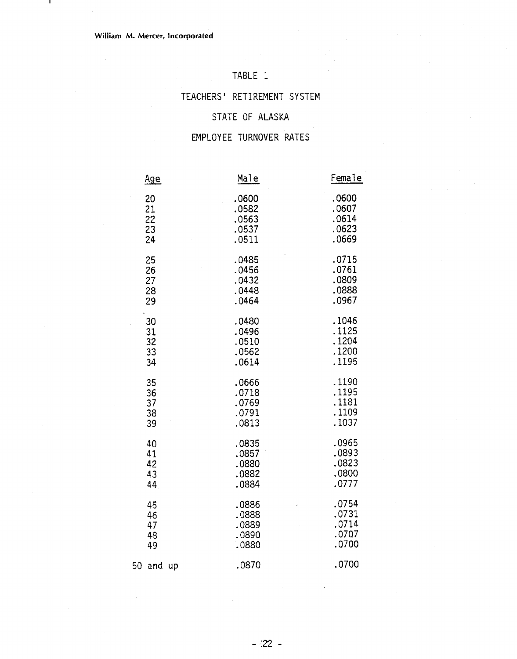л.

# TABLE 1

### TEACHERS' RETIREMENT SYSTEM

# STATE OF ALASKA

### EMPLOYEE TURNOVER RATES

|    | <u>Age</u> | Male  | Female |
|----|------------|-------|--------|
|    | 20         | .0600 | .0600  |
|    | 21         | .0582 | .0607  |
|    | 22         | .0563 | .0614  |
|    | 23         | .0537 | .0623  |
|    | 24         | .0511 | .0669  |
|    | 25         | .0485 | .0715  |
|    | 26         | .0456 | .0761  |
|    | 27         | .0432 | .0809  |
|    | 28         | .0448 | .0888  |
|    | 29         | .0464 | .0967  |
|    | 30         | .0480 | .1046  |
|    | 31         | .0496 | .1125  |
|    | 32         | .0510 | .1204  |
|    | 33         | .0562 | .1200  |
|    | 34         | .0614 | .1195  |
|    | 35         | .0666 | .1190  |
|    | 36         | .0718 | .1195  |
|    | 37         | .0769 | .1181  |
|    | 38         | .0791 | .1109  |
|    | 39         | .0813 | .1037  |
|    | 40         | .0835 | .0965  |
|    | 41         | .0857 | .0893  |
|    | 42         | .0880 | .0823  |
|    | 43         | .0882 | .0800  |
|    | 44         | .0884 | .0777  |
|    | 45         | .0886 | .0754  |
|    | 46         | .0888 | .0731  |
|    | 47         | .0889 | .0714  |
|    | 48         | .0890 | .0707  |
|    | 49         | .0880 | .0700  |
| 50 | and up     | .0870 | .0700  |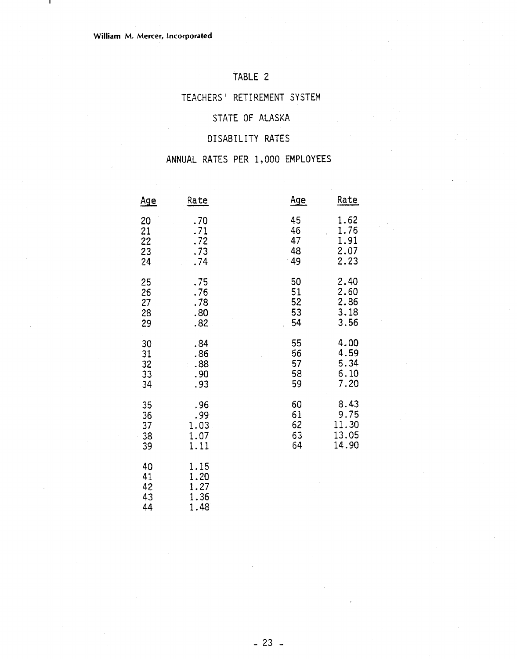л.

# TABLE 2

### TEACHERS' RETIREMENT SYSTEM

### STATE OF ALASKA

# DISABILITY RATES

### ANNUAL RATES PER 1,000 EMPLOYEES

|                            | ANNUAL RATES PER 1,000 EMPLOYEES     |            |       |
|----------------------------|--------------------------------------|------------|-------|
| <u>Age</u>                 | Rate                                 | <u>Age</u> | Rate  |
| 20                         | .70                                  | 45         | 1.62  |
| 21                         | .71                                  | 46         | 1.76  |
| 22                         | .72                                  | 47         | 1.91  |
| 23                         | .73                                  | 48         | 2.07  |
| 24                         | .74                                  | - 49       | 2.23  |
| 25                         | .75                                  | 50         | 2.40  |
| 26                         | .76                                  | 51         | 2.60  |
| 27                         | .78                                  | 52         | 2.86  |
| 28                         | .80                                  | 53         | 3.18  |
| 29                         | .82                                  | 54         | 3.56  |
| 30                         | .84                                  | 55         | 4.00  |
| 31                         | .86                                  | 56         | 4.59  |
| 32                         | .88                                  | 57         | 5.34  |
| 33                         | .90                                  | 58         | 6.10  |
| 34                         | .93                                  | 59         | 7.20  |
| 35                         | .96                                  | 60         | 8.43  |
| 36                         | .99                                  | 61         | 9.75  |
| 37                         | 1.03                                 | 62         | 11.30 |
| 38                         | 1.07                                 | 63         | 13.05 |
| 39                         | 1.11                                 | 64         | 14.90 |
| 40<br>41<br>42<br>43<br>44 | 1.15<br>1.20<br>1.27<br>1.36<br>1.48 |            |       |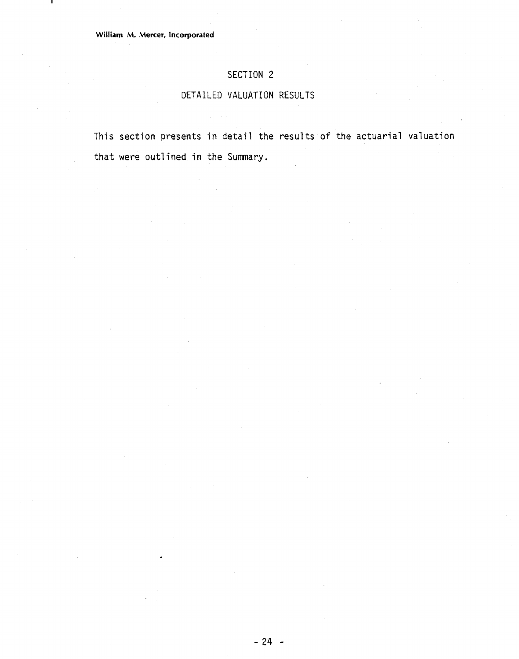ш

## **SECTION 2**

## **DETAILED** VALUATION **RESULTS**

This section presents in detail the results of the actuarial valuation that were outlined in the Summary.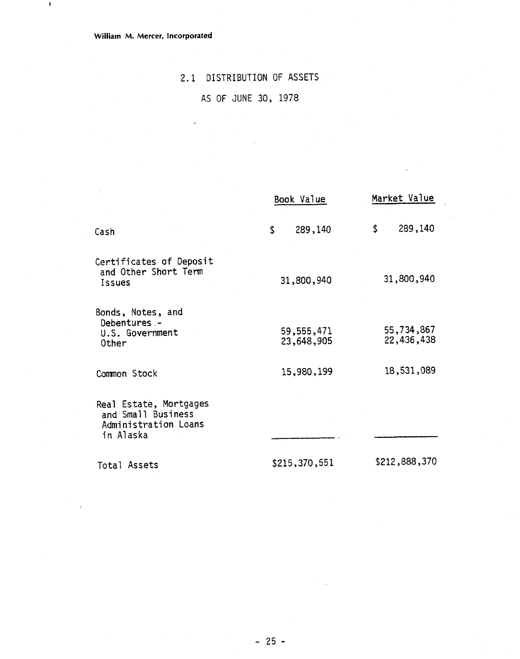**Wiiliarn M. Mercer, Incorporated** 

 $\blacksquare$ 

# 2.1 DISTRIBUTION OF ASSETS AS OF JUNE 30, 1978

|                                                                                   | Book Value               | Market Value             |
|-----------------------------------------------------------------------------------|--------------------------|--------------------------|
| Cash                                                                              | \$<br>289,140            | 289,140<br>\$            |
| Certificates of Deposit<br>and Other Short Term<br>Issues                         | 31,800,940               | 31,800,940               |
| Bonds, Notes, and<br>Debentures -<br>U.S. Government<br>Other                     | 59,555,471<br>23,648,905 | 55,734,867<br>22,436,438 |
| Common Stock                                                                      | 15,980,199               | 18,531,089               |
| Real Estate, Mortgages<br>and Small Business<br>Administration Loans<br>in Alaska |                          |                          |
| Total Assets                                                                      | \$215,370,551            | \$212,888,370            |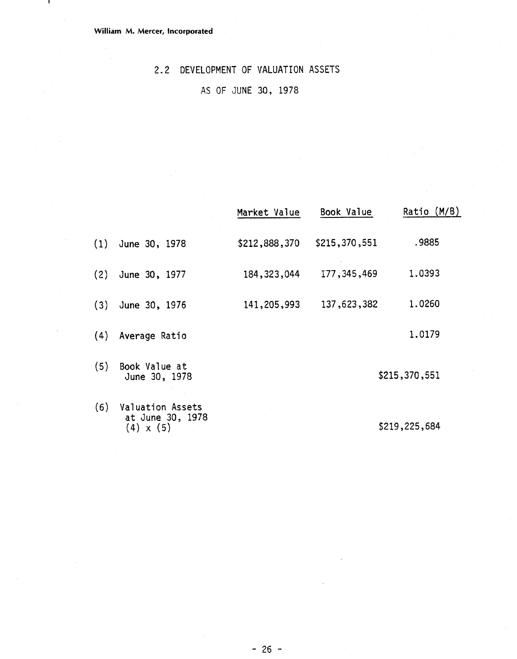$\mathbf{I}$ 

# **2.2** DEVELOPMENT **OF** VALUATION ASSETS

# AS OF **JUNE 30, 1978**

|     |                                                          | Market Value  | Book Value    | Ratio (M/B)   |
|-----|----------------------------------------------------------|---------------|---------------|---------------|
| (1) | June 30, 1978                                            | \$212,888,370 | \$215,370,551 | .9885         |
| (2) | June 30, 1977                                            | 184, 323, 044 | 177, 345, 469 | 1.0393        |
| (3) | June 30, 1976                                            | 141,205,993   | 137,623,382   | 1.0260        |
| (4) | Average Ratio                                            |               |               | 1.0179        |
| (5) | Book Value at<br>June 30, 1978                           |               |               | \$215,370,551 |
| (6) | Valuation Assets<br>at June 30, 1978<br>$(4) \times (5)$ |               |               | \$219,225,684 |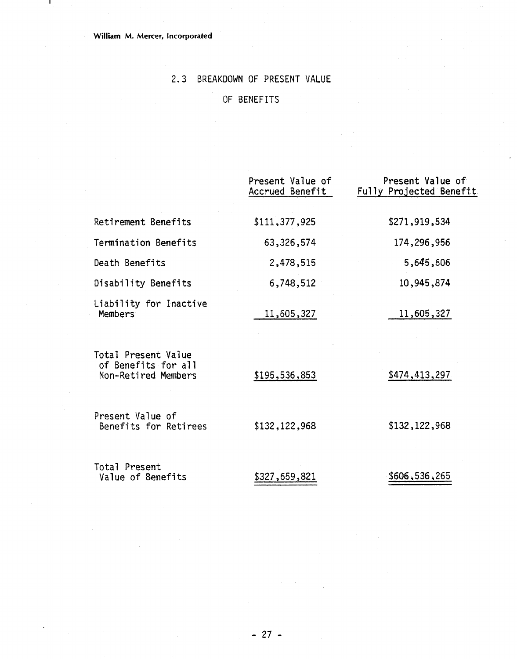### **William M. Mercer, incorporated**

л.

# 2.3 BREAKDOWN OF PRESENT VALUE

# OF BENEFITS

|                                                                   | Present Value of<br>Accrued Benefit | Present Value of<br>Fully Projected Benefit |
|-------------------------------------------------------------------|-------------------------------------|---------------------------------------------|
| Retirement Benefits                                               | \$111,377,925                       | \$271,919,534                               |
| Termination Benefits                                              | 63,326,574                          | 174,296,956                                 |
| Death Benefits                                                    | 2,478,515                           | 5,645,606                                   |
| Disability Benefits                                               | 6,748,512                           | 10,945,874                                  |
| Liability for Inactive<br><b>Members</b>                          | 11,605,327                          | 11,605,327                                  |
| Total Present Value<br>of Benefits for all<br>Non-Retired Members | \$195,536,853                       | \$474,413,297                               |
| Present Value of<br>Benefits for Retirees                         | \$132,122,968                       | \$132,122,968                               |
| Total Present<br>Value of Benefits                                | \$327,659,821                       | \$606,536,265                               |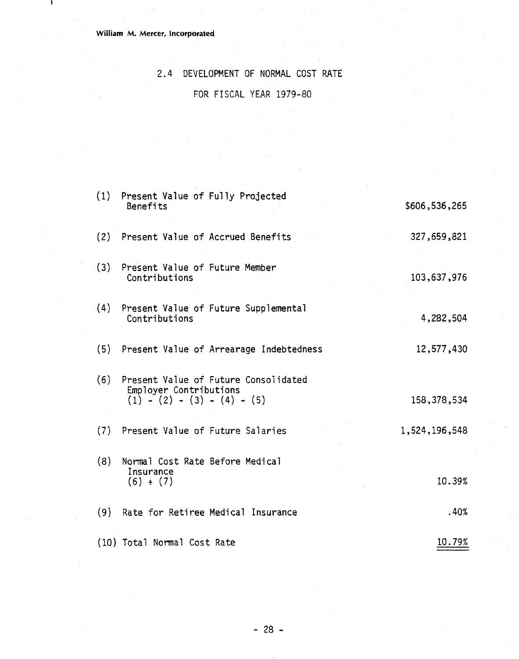$\mathbf{I}$ 

# 2.4 DEVELOPMENT OF NORMAL COST RATE

# FOR FISCAL YEAR 1979-80

| (1) | Present Value of Fully Projected<br>Benefits                                                    | \$606,536,265 |
|-----|-------------------------------------------------------------------------------------------------|---------------|
|     | (2) Present Value of Accrued Benefits                                                           | 327,659,821   |
| (3) | Present Value of Future Member<br>Contributions                                                 | 103,637,976   |
| (4) | Present Value of Future Supplemental<br>Contributions                                           | 4,282,504     |
|     | (5) Present Value of Arrearage Indebtedness                                                     | 12,577,430    |
| (6) | Present Value of Future Consolidated<br>Employer Contributions<br>$(1) - (2) - (3) - (4) - (5)$ | 158,378,534   |
|     | (7) Present Value of Future Salaries                                                            | 1,524,196,548 |
| (8) | Normal Cost Rate Before Medical<br>Insurance<br>(6) ÷ (7)                                       | 10.39%        |
| (9) | Rate for Retiree Medical Insurance                                                              | .40%          |
|     | (10) Total Normal Cost Rate                                                                     | 10.79%        |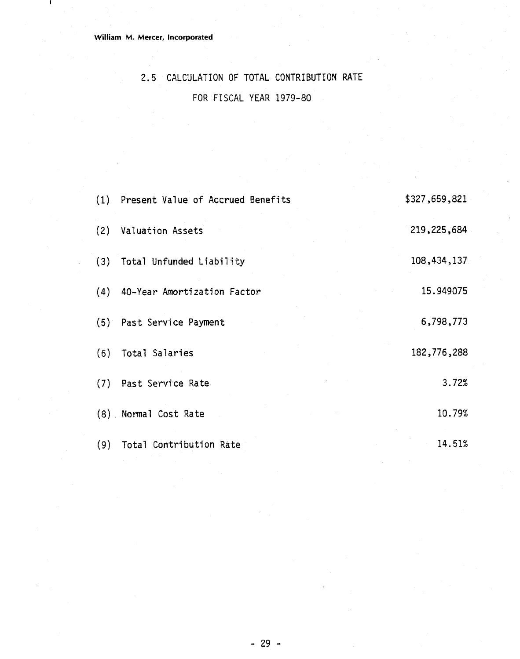**William M. Mercer, Incorporated** 

 $\mathbf{I}$ 

# 2.5 CALCULATION OF TOTAL CONTRIBUTTON RATE FOR FISCAL YEAR 1979-80

|     | (1) Present Value of Accrued Benefits | \$327,659,821 |
|-----|---------------------------------------|---------------|
| (2) | <b>Valuation Assets</b>               | 219,225,684   |
|     | (3) Total Unfunded Liability          | 108,434,137   |
|     | (4) 40-Year Amortization Factor.      | 15.949075     |
|     | (5) Past Service Payment              | 6,798,773     |
| (6) | Total Salaries                        | 182,776,288   |
|     | (7) Past Service Rate                 | 3.72%         |
|     | (8) Normal Cost Rate                  | 10.79%        |
|     | (9) Total Contribution Rate           | 14.51%        |